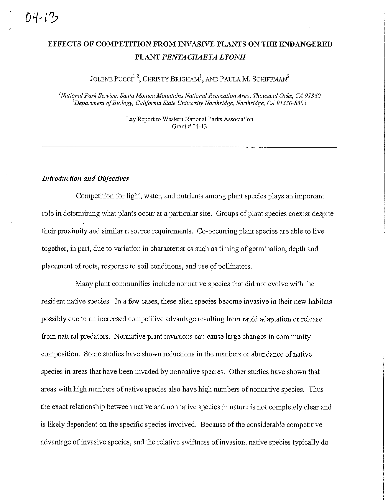## **EFFECTS OF COMPETITION FROM INVASIVE PLANTS ON THE ENDANGERED PLANT** *PENTACHAETA LYONII*

## JOLENE  $\mathrm{PUCCI}^{1,2}$ , Christy Brigham<sup>1</sup>, and Paula M. Schiffman<sup>2</sup>

*1 National Park Service, Santa Monica Mountains National Recreation Area, Thousand Oaks, CA 9 I 360 2 Department of Biology, California State University Northridge, Northridge, CA 91330-8303* 

> Lay Report to Western National Parks Association Grant # 04-13

## *Introduction and Objectives*

Competition for light, water, and nutiients among plant species plays an important role in detennining what plants occur at a particular site, Groups of plant species coexist despite their proximity and similar resource requirements. Co-occurring plant species are able to live together, in part, due to variation in characteristics such as timing of germination, depth and placement of roots, response to soil conditions, and use of pollinators.

Many plant conmmnities include nonnative species that did not evolve with the resident native species. In a few cases, these alien species become invasive in their new habitats possibly due to an increased competitive advantage resulting from rapid adaptation or release from natural predators. Nonnative plant invasions can cause large changes in community composition. Some studies have shown reductions in the numbers or abundance of native species in areas that have been invaded by nonnative species. Other studies have shown that areas with high numbers of native species also have high numbers of nomiative species. Thus the exact relationship between native and nonnative species in nature is not completely clear and is likely dependent on the specific species involved. Because of the considerable competitive advantage of invasive species, and the relative swiftness of invasion, native species typically do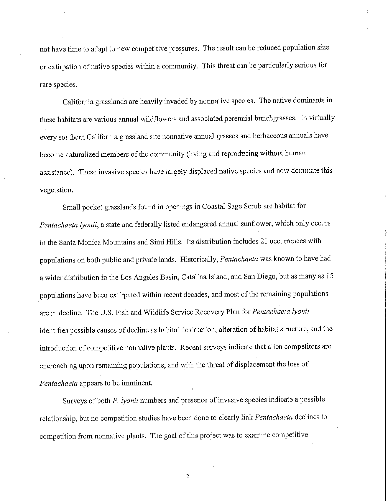not have time to adapt to new competitive pressures. The result can be reduced population size or extirpation of native species within a community. This threat can be particularly serious for rare species.

California grasslands are heavily invaded by nonnative species. The native dominants in these habitats are various annnal wildflowers and associated perennial bunchgrasses. In virtually every southern California grassland site nonnative annual grasses and herbaceous annuals have become naturalized members of the community (living and reproducing without human assistance). These invasive species have largely displaced native species and now dominate this vegetation.

Small pocket grasslands found in openings in Coastal Sage Scrub are habitat for *Pentachaeta lyonii,* a state and federally listed endangered annual sunflower, which only occurs **in** the Santa Monica Mountains and Simi Hills. Its distribution includes 21 occurrences with populations on both public and private lands. Historically, *Pentachaeta* was known to have had a wider distribution in the Los Angeles Basin, Catalina Island, and San Diego, but as many as 15 populations have been extirpated within recent decades, and most of the remaining populations are **in** decline. The U.S. Fish and Wildlife Service Recovery Plan for *Pentachaeta lyonii*  identifies possible causes of decline as habitat destruction, alteration of habitat structure, and the introduction of competitive nonnative plants. Recent surveys indicate that alien competitors are encroaching upon remaining populations, and with the threat of displacement the loss of *Pentachaeta* appears to be imminent.

Surveys of both *P. lyonii* numbers and presence of invasive species indicate a possible relationship, but no competition studies have been done to clearly link *Pentachaeta* declines to competition from nonnative plants. The goal of this project was to examine competitive

2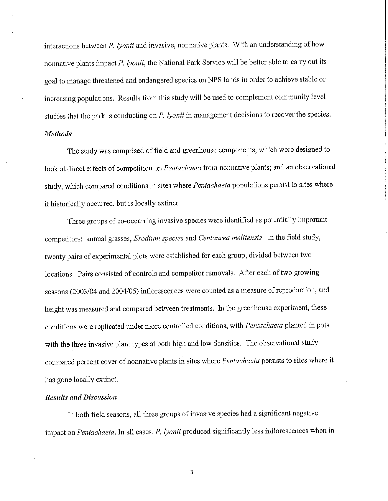interactions between *P. lyonii* and invasive, nonnative plants. With an understanding of how nonnative plants impact *P. lyonii,* the National Park Service will be better able to carry out its goal to manage threatened and endangered species on NPS lands in order to achieve stable or increasing populations. Results from this study will be used to complement community level studies that the park is conducting on *P. lyonii* in management decisions to recover the species. *Methods* 

The study was comprised of field and greenhouse components, which were designed to look at direct effects of competition on *Pentachaeta* from nonnative plants; and an observational study, which compared conditions in sites where *Pentachaeta* populations persist to sites where it historically occuned, but is locally extinct.

Three groups of co-occurring invasive species were identified as potentially important competitors: annual grasses, *Erodium species* and *Centaurea melitensis.* In the field study, twenty pairs of experimental plots were established for each group, divided between two locations. Pairs consisted of controls and competitor removals. After each of two growing seasons (2003/04 and 2004/05) inflorescences were counted as a measure of reproduction, and height was measured and compared between treatments. In the greenhouse experiment, these conditions were replicated under more controlled conditions, with *Pentachaeta* planted in pots with the three invasive plant types at both high and low densities. The observational study compared percent cover of nonnative plants in sites where *Pentachaeta* persists to sites where it has gone locally extinct.

## *Results and Discussion*

In both field seasons, all three groups of invasive species had a significant negative impact on *Pentachaeta.* In all cases, *P. lyonii* produced significantly less inflorescences when in

3